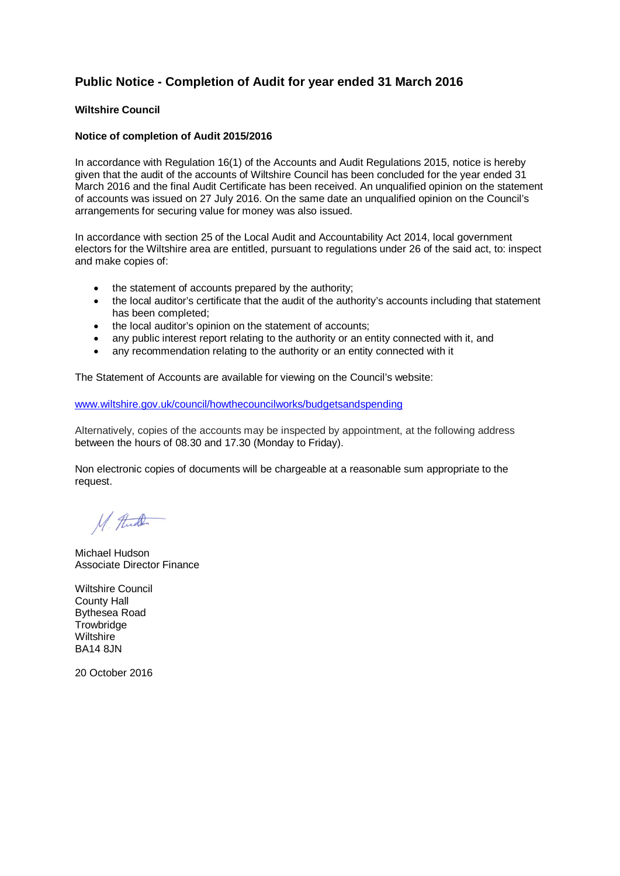## **Public Notice - Completion of Audit for year ended 31 March 2016**

## **Wiltshire Council**

## **Notice of completion of Audit 2015/2016**

In accordance with Regulation 16(1) of the Accounts and Audit Regulations 2015, notice is hereby given that the audit of the accounts of Wiltshire Council has been concluded for the year ended 31 March 2016 and the final Audit Certificate has been received. An unqualified opinion on the statement of accounts was issued on 27 July 2016. On the same date an unqualified opinion on the Council's arrangements for securing value for money was also issued.

In accordance with section 25 of the Local Audit and Accountability Act 2014, local government electors for the Wiltshire area are entitled, pursuant to regulations under 26 of the said act, to: inspect and make copies of:

- the statement of accounts prepared by the authority;
- the local auditor's certificate that the audit of the authority's accounts including that statement has been completed;
- the local auditor's opinion on the statement of accounts;
- any public interest report relating to the authority or an entity connected with it, and
- any recommendation relating to the authority or an entity connected with it

The Statement of Accounts are available for viewing on the Council's website:

[www.wiltshire.gov.uk/council/howthecouncilworks/budgetsandspending](http://www.wiltshire.gov.uk/council/howthecouncilworks/budgetsandspending)

Alternatively, copies of the accounts may be inspected by appointment, at the following address between the hours of 08.30 and 17.30 (Monday to Friday).

Non electronic copies of documents will be chargeable at a reasonable sum appropriate to the request.

M. Hude

Michael Hudson Associate Director Finance

Wiltshire Council County Hall Bythesea Road **Trowbridge Wiltshire** BA14 8JN

20 October 2016